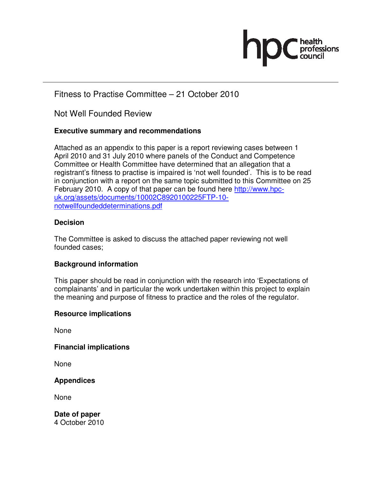

# Fitness to Practise Committee – 21 October 2010

Not Well Founded Review

## **Executive summary and recommendations**

Attached as an appendix to this paper is a report reviewing cases between 1 April 2010 and 31 July 2010 where panels of the Conduct and Competence Committee or Health Committee have determined that an allegation that a registrant's fitness to practise is impaired is 'not well founded'. This is to be read in conjunction with a report on the same topic submitted to this Committee on 25 February 2010. A copy of that paper can be found here http://www.hpcuk.org/assets/documents/10002C8920100225FTP-10 notwellfoundeddeterminations.pdf

## **Decision**

The Committee is asked to discuss the attached paper reviewing not well founded cases;

## **Background information**

This paper should be read in conjunction with the research into 'Expectations of complainants' and in particular the work undertaken within this project to explain the meaning and purpose of fitness to practice and the roles of the regulator.

## **Resource implications**

None

**Financial implications** 

None

**Appendices** 

None

**Date of paper**  4 October 2010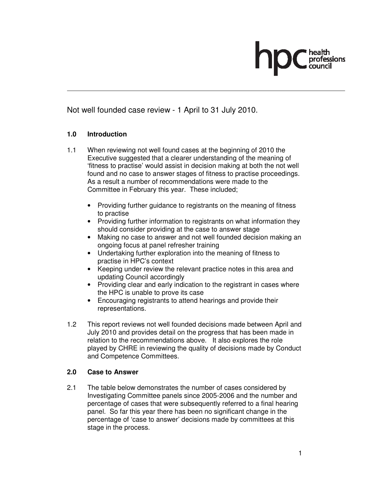Not well founded case review - 1 April to 31 July 2010.

## **1.0 Introduction**

- 1.1 When reviewing not well found cases at the beginning of 2010 the Executive suggested that a clearer understanding of the meaning of 'fitness to practise' would assist in decision making at both the not well found and no case to answer stages of fitness to practise proceedings. As a result a number of recommendations were made to the Committee in February this year. These included;
	- Providing further guidance to registrants on the meaning of fitness to practise
	- Providing further information to registrants on what information they should consider providing at the case to answer stage
	- Making no case to answer and not well founded decision making an ongoing focus at panel refresher training
	- Undertaking further exploration into the meaning of fitness to practise in HPC's context
	- Keeping under review the relevant practice notes in this area and updating Council accordingly
	- Providing clear and early indication to the registrant in cases where the HPC is unable to prove its case
	- Encouraging registrants to attend hearings and provide their representations.
- 1.2 This report reviews not well founded decisions made between April and July 2010 and provides detail on the progress that has been made in relation to the recommendations above. It also explores the role played by CHRE in reviewing the quality of decisions made by Conduct and Competence Committees.

## **2.0 Case to Answer**

2.1 The table below demonstrates the number of cases considered by Investigating Committee panels since 2005-2006 and the number and percentage of cases that were subsequently referred to a final hearing panel. So far this year there has been no significant change in the percentage of 'case to answer' decisions made by committees at this stage in the process.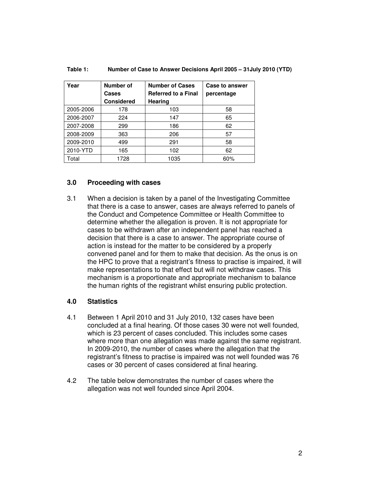| Year      | Number of         | <b>Number of Cases</b>     | Case to answer |
|-----------|-------------------|----------------------------|----------------|
|           | Cases             | <b>Referred to a Final</b> | percentage     |
|           | <b>Considered</b> | Hearing                    |                |
| 2005-2006 | 178               | 103                        | 58             |
| 2006-2007 | 224               | 147                        | 65             |
| 2007-2008 | 299               | 186                        | 62             |
| 2008-2009 | 363               | 206                        | 57             |
| 2009-2010 | 499               | 291                        | 58             |
| 2010-YTD  | 165               | 102                        | 62             |
| Total     | 1728              | 1035                       | 60%            |

#### **Table 1: Number of Case to Answer Decisions April 2005 – 31July 2010 (YTD)**

## **3.0 Proceeding with cases**

3.1 When a decision is taken by a panel of the Investigating Committee that there is a case to answer, cases are always referred to panels of the Conduct and Competence Committee or Health Committee to determine whether the allegation is proven. It is not appropriate for cases to be withdrawn after an independent panel has reached a decision that there is a case to answer. The appropriate course of action is instead for the matter to be considered by a properly convened panel and for them to make that decision. As the onus is on the HPC to prove that a registrant's fitness to practise is impaired, it will make representations to that effect but will not withdraw cases. This mechanism is a proportionate and appropriate mechanism to balance the human rights of the registrant whilst ensuring public protection.

### **4.0 Statistics**

- 4.1 Between 1 April 2010 and 31 July 2010, 132 cases have been concluded at a final hearing. Of those cases 30 were not well founded, which is 23 percent of cases concluded. This includes some cases where more than one allegation was made against the same registrant. In 2009-2010, the number of cases where the allegation that the registrant's fitness to practise is impaired was not well founded was 76 cases or 30 percent of cases considered at final hearing.
- 4.2 The table below demonstrates the number of cases where the allegation was not well founded since April 2004.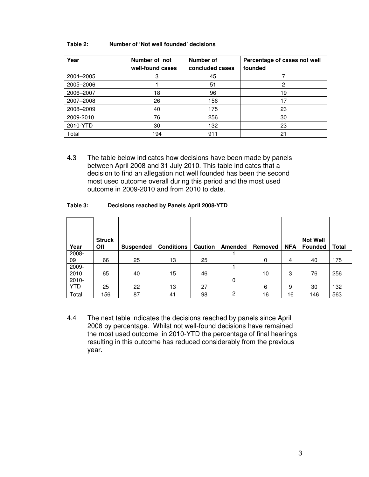#### **Table 2: Number of 'Not well founded' decisions**

| Year      | Number of not<br>well-found cases | Number of<br>concluded cases | Percentage of cases not well<br>founded |
|-----------|-----------------------------------|------------------------------|-----------------------------------------|
| 2004-2005 | 3                                 | 45                           |                                         |
| 2005-2006 |                                   | 51                           | 2                                       |
| 2006-2007 | 18                                | 96                           | 19                                      |
| 2007-2008 | 26                                | 156                          | 17                                      |
| 2008-2009 | 40                                | 175                          | 23                                      |
| 2009-2010 | 76                                | 256                          | 30                                      |
| 2010-YTD  | 30                                | 132                          | 23                                      |
| Total     | 194                               | 911                          | 21                                      |

4.3 The table below indicates how decisions have been made by panels between April 2008 and 31 July 2010. This table indicates that a decision to find an allegation not well founded has been the second most used outcome overall during this period and the most used outcome in 2009-2010 and from 2010 to date.

#### **Table 3: Decisions reached by Panels April 2008-YTD**

| Year     | <b>Struck</b><br><b>Off</b> | <b>Suspended</b> | <b>Conditions</b> | Caution | Amended | Removed | <b>NFA</b> | <b>Not Well</b><br><b>Founded</b> | Total |
|----------|-----------------------------|------------------|-------------------|---------|---------|---------|------------|-----------------------------------|-------|
| 2008-    |                             |                  |                   |         |         |         |            |                                   |       |
| 09       | 66                          | 25               | 13                | 25      |         | 0       | 4          | 40                                | 175   |
| 2009-    |                             |                  |                   |         |         |         |            |                                   |       |
| 2010     | 65                          | 40               | 15                | 46      |         | 10      | 3          | 76                                | 256   |
| $2010 -$ |                             |                  |                   |         | 0       |         |            |                                   |       |
| YTD      | 25                          | 22               | 13                | 27      |         | 6       | 9          | 30                                | 132   |
| Total    | 156                         | 87               | 41                | 98      | 2       | 16      | 16         | 146                               | 563   |

4.4 The next table indicates the decisions reached by panels since April 2008 by percentage. Whilst not well-found decisions have remained the most used outcome in 2010-YTD the percentage of final hearings resulting in this outcome has reduced considerably from the previous year.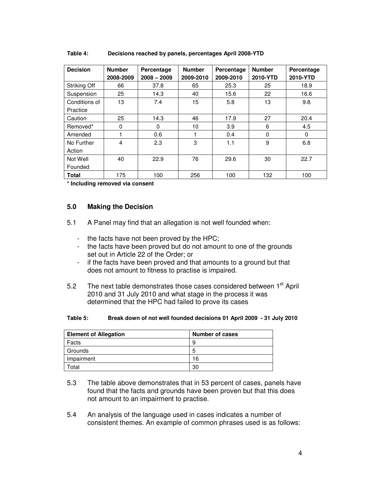| <b>Decision</b> | <b>Number</b><br>2008-2009 | Percentage<br>$2008 - 2009$ | <b>Number</b><br>2009-2010 | Percentage<br>2009-2010 | <b>Number</b><br>2010-YTD | Percentage<br>2010-YTD |
|-----------------|----------------------------|-----------------------------|----------------------------|-------------------------|---------------------------|------------------------|
| Striking Off    | 66                         | 37.8                        | 65                         | 25.3                    | 25                        | 18.9                   |
| Suspension      | 25                         | 14.3                        | 40                         | 15.6                    | 22                        | 16.6                   |
| Conditions of   | 13                         | 7.4                         | 15                         | 5.8                     | 13                        | 9.8                    |
| Practice        |                            |                             |                            |                         |                           |                        |
| Caution         | 25                         | 14.3                        | 46                         | 17.9                    | 27                        | 20.4                   |
| Removed*        | 0                          | $\Omega$                    | 10                         | 3.9                     | 6                         | 4.5                    |
| Amended         |                            | 0.6                         |                            | 0.4                     | $\Omega$                  | $\Omega$               |
| No Further      | 4                          | 2.3                         | 3                          | 1.1                     | 9                         | 6.8                    |
| Action          |                            |                             |                            |                         |                           |                        |
| Not Well        | 40                         | 22.9                        | 76                         | 29.6                    | 30                        | 22.7                   |
| Founded         |                            |                             |                            |                         |                           |                        |
| <b>Total</b>    | 175                        | 100                         | 256                        | 100                     | 132                       | 100                    |

#### **Table 4: Decisions reached by panels, percentages April 2008-YTD**

**\* Including removed via consent** 

### **5.0 Making the Decision**

- 5.1 A Panel may find that an allegation is not well founded when:
	- the facts have not been proved by the HPC;
	- the facts have been proved but do not amount to one of the grounds set out in Article 22 of the Order; or
	- if the facts have been proved and that amounts to a ground but that does not amount to fitness to practise is impaired.
- 5.2 The next table demonstrates those cases considered between 1<sup>st</sup> April 2010 and 31 July 2010 and what stage in the process it was determined that the HPC had failed to prove its cases

#### **Table 5: Break down of not well founded decisions 01 April 2009 - 31 July 2010**

| <b>Element of Allegation</b> | Number of cases |
|------------------------------|-----------------|
| Facts                        | 9               |
| Grounds                      | h               |
| Impairment                   | 16              |
| otal <sup>.</sup>            | 30              |

- 5.3 The table above demonstrates that in 53 percent of cases, panels have found that the facts and grounds have been proven but that this does not amount to an impairment to practise.
- 5.4 An analysis of the language used in cases indicates a number of consistent themes. An example of common phrases used is as follows: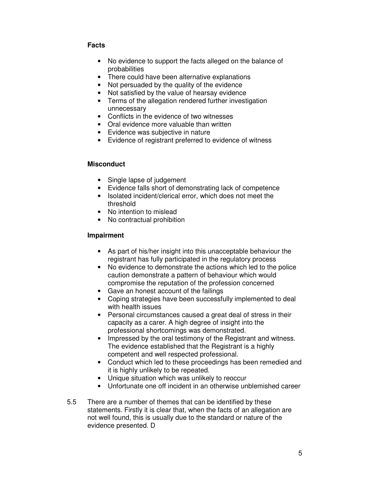## **Facts**

- No evidence to support the facts alleged on the balance of probabilities
- There could have been alternative explanations
- Not persuaded by the quality of the evidence
- Not satisfied by the value of hearsay evidence
- Terms of the allegation rendered further investigation unnecessary
- Conflicts in the evidence of two witnesses
- Oral evidence more valuable than written
- Evidence was subjective in nature
- Evidence of registrant preferred to evidence of witness

## **Misconduct**

- Single lapse of judgement
- Evidence falls short of demonstrating lack of competence
- Isolated incident/clerical error, which does not meet the threshold
- No intention to mislead
- No contractual prohibition

## **Impairment**

- As part of his/her insight into this unacceptable behaviour the registrant has fully participated in the regulatory process
- No evidence to demonstrate the actions which led to the police caution demonstrate a pattern of behaviour which would compromise the reputation of the profession concerned
- Gave an honest account of the failings
- Coping strategies have been successfully implemented to deal with health issues
- Personal circumstances caused a great deal of stress in their capacity as a carer. A high degree of insight into the professional shortcomings was demonstrated.
- Impressed by the oral testimony of the Registrant and witness. The evidence established that the Registrant is a highly competent and well respected professional.
- Conduct which led to these proceedings has been remedied and it is highly unlikely to be repeated.
- Unique situation which was unlikely to reoccur
- Unfortunate one off incident in an otherwise unblemished career
- 5.5 There are a number of themes that can be identified by these statements. Firstly it is clear that, when the facts of an allegation are not well found, this is usually due to the standard or nature of the evidence presented. D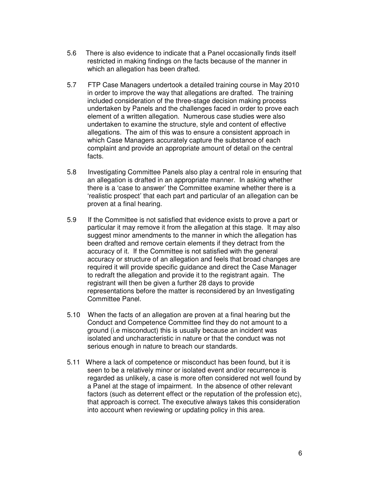- 5.6 There is also evidence to indicate that a Panel occasionally finds itself restricted in making findings on the facts because of the manner in which an allegation has been drafted.
- 5.7 FTP Case Managers undertook a detailed training course in May 2010 in order to improve the way that allegations are drafted. The training included consideration of the three-stage decision making process undertaken by Panels and the challenges faced in order to prove each element of a written allegation. Numerous case studies were also undertaken to examine the structure, style and content of effective allegations. The aim of this was to ensure a consistent approach in which Case Managers accurately capture the substance of each complaint and provide an appropriate amount of detail on the central facts.
- 5.8 Investigating Committee Panels also play a central role in ensuring that an allegation is drafted in an appropriate manner. In asking whether there is a 'case to answer' the Committee examine whether there is a 'realistic prospect' that each part and particular of an allegation can be proven at a final hearing.
- 5.9 If the Committee is not satisfied that evidence exists to prove a part or particular it may remove it from the allegation at this stage. It may also suggest minor amendments to the manner in which the allegation has been drafted and remove certain elements if they detract from the accuracy of it. If the Committee is not satisfied with the general accuracy or structure of an allegation and feels that broad changes are required it will provide specific guidance and direct the Case Manager to redraft the allegation and provide it to the registrant again. The registrant will then be given a further 28 days to provide representations before the matter is reconsidered by an Investigating Committee Panel.
- 5.10 When the facts of an allegation are proven at a final hearing but the Conduct and Competence Committee find they do not amount to a ground (i.e misconduct) this is usually because an incident was isolated and uncharacteristic in nature or that the conduct was not serious enough in nature to breach our standards.
- 5.11 Where a lack of competence or misconduct has been found, but it is seen to be a relatively minor or isolated event and/or recurrence is regarded as unlikely, a case is more often considered not well found by a Panel at the stage of impairment. In the absence of other relevant factors (such as deterrent effect or the reputation of the profession etc), that approach is correct. The executive always takes this consideration into account when reviewing or updating policy in this area.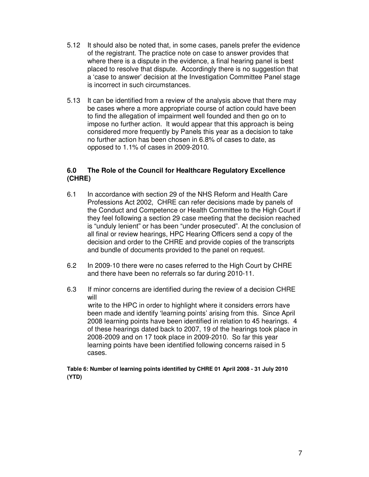- 5.12 It should also be noted that, in some cases, panels prefer the evidence of the registrant. The practice note on case to answer provides that where there is a dispute in the evidence, a final hearing panel is best placed to resolve that dispute. Accordingly there is no suggestion that a 'case to answer' decision at the Investigation Committee Panel stage is incorrect in such circumstances.
- 5.13 It can be identified from a review of the analysis above that there may be cases where a more appropriate course of action could have been to find the allegation of impairment well founded and then go on to impose no further action. It would appear that this approach is being considered more frequently by Panels this year as a decision to take no further action has been chosen in 6.8% of cases to date, as opposed to 1.1% of cases in 2009-2010.

## **6.0 The Role of the Council for Healthcare Regulatory Excellence (CHRE)**

- 6.1 In accordance with section 29 of the NHS Reform and Health Care Professions Act 2002, CHRE can refer decisions made by panels of the Conduct and Competence or Health Committee to the High Court if they feel following a section 29 case meeting that the decision reached is "unduly lenient" or has been "under prosecuted". At the conclusion of all final or review hearings, HPC Hearing Officers send a copy of the decision and order to the CHRE and provide copies of the transcripts and bundle of documents provided to the panel on request.
- 6.2 In 2009-10 there were no cases referred to the High Court by CHRE and there have been no referrals so far during 2010-11.
- 6.3 If minor concerns are identified during the review of a decision CHRE will write to the HPC in order to highlight where it considers errors have been made and identify 'learning points' arising from this. Since April 2008 learning points have been identified in relation to 45 hearings. 4 of these hearings dated back to 2007, 19 of the hearings took place in 2008-2009 and on 17 took place in 2009-2010. So far this year learning points have been identified following concerns raised in 5 cases.

### **Table 6: Number of learning points identified by CHRE 01 April 2008 - 31 July 2010 (YTD)**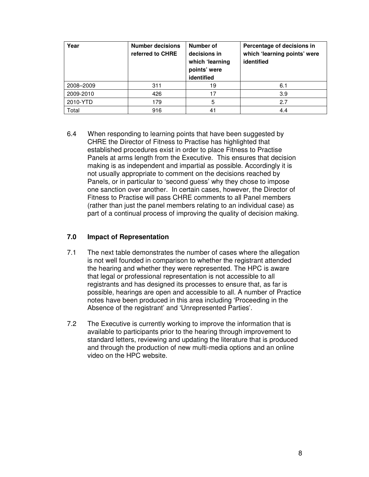| Year      | <b>Number decisions</b><br>referred to CHRE | Number of<br>decisions in<br>which 'learning<br>points' were<br>identified | Percentage of decisions in<br>which 'learning points' were<br>identified |
|-----------|---------------------------------------------|----------------------------------------------------------------------------|--------------------------------------------------------------------------|
| 2008-2009 | 311                                         | 19                                                                         | 6.1                                                                      |
| 2009-2010 | 426                                         | 17                                                                         | 3.9                                                                      |
| 2010-YTD  | 179                                         | 5                                                                          | 2.7                                                                      |
| Total     | 916                                         | 41                                                                         | 4.4                                                                      |

6.4 When responding to learning points that have been suggested by CHRE the Director of Fitness to Practise has highlighted that established procedures exist in order to place Fitness to Practise Panels at arms length from the Executive. This ensures that decision making is as independent and impartial as possible. Accordingly it is not usually appropriate to comment on the decisions reached by Panels, or in particular to 'second guess' why they chose to impose one sanction over another. In certain cases, however, the Director of Fitness to Practise will pass CHRE comments to all Panel members (rather than just the panel members relating to an individual case) as part of a continual process of improving the quality of decision making.

## **7.0 Impact of Representation**

- 7.1 The next table demonstrates the number of cases where the allegation is not well founded in comparison to whether the registrant attended the hearing and whether they were represented. The HPC is aware that legal or professional representation is not accessible to all registrants and has designed its processes to ensure that, as far is possible, hearings are open and accessible to all. A number of Practice notes have been produced in this area including 'Proceeding in the Absence of the registrant' and 'Unrepresented Parties'.
- 7.2 The Executive is currently working to improve the information that is available to participants prior to the hearing through improvement to standard letters, reviewing and updating the literature that is produced and through the production of new multi-media options and an online video on the HPC website.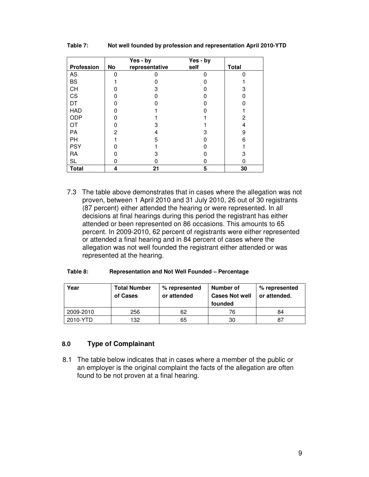|                   | Yes - by |                | Yes - by |              |
|-------------------|----------|----------------|----------|--------------|
| <b>Profession</b> | No       | representative | self     | <b>Total</b> |
| AS                |          |                |          |              |
| <b>BS</b>         |          |                |          |              |
| CH                |          | 3              |          |              |
| CS                |          |                |          |              |
| DT                |          |                |          |              |
| <b>HAD</b>        |          |                |          |              |
| <b>ODP</b>        |          |                |          | 2            |
| ОT                |          | З              |          | 4            |
| <b>PA</b>         | 2        | 4              | З        | 9            |
| PH                |          | 5              |          | 6            |
| <b>PSY</b>        |          |                |          |              |
| RA                |          | з              |          |              |
| <b>SL</b>         |          |                |          |              |
| <b>Total</b>      | 4        | 21             | 5        | 30           |

#### **Table 7: Not well founded by profession and representation April 2010-YTD**

7.3 The table above demonstrates that in cases where the allegation was not proven, between 1 April 2010 and 31 July 2010, 26 out of 30 registrants (87 percent) either attended the hearing or were represented. In all decisions at final hearings during this period the registrant has either attended or been represented on 86 occasions. This amounts to 65 percent. In 2009-2010, 62 percent of registrants were either represented or attended a final hearing and in 84 percent of cases where the allegation was not well founded the registrant either attended or was represented at the hearing.

#### **Table 8: Representation and Not Well Founded – Percentage**

| Year      | <b>Total Number</b><br>of Cases | % represented<br>or attended | Number of<br><b>Cases Not well</b><br>founded | % represented<br>or attended. |
|-----------|---------------------------------|------------------------------|-----------------------------------------------|-------------------------------|
| 2009-2010 | 256                             | 62                           | 76                                            | 84                            |
| 2010-YTD  | 132                             | 65                           | 30                                            | 87                            |

#### **8.0 Type of Complainant**

 8.1 The table below indicates that in cases where a member of the public or an employer is the original complaint the facts of the allegation are often found to be not proven at a final hearing.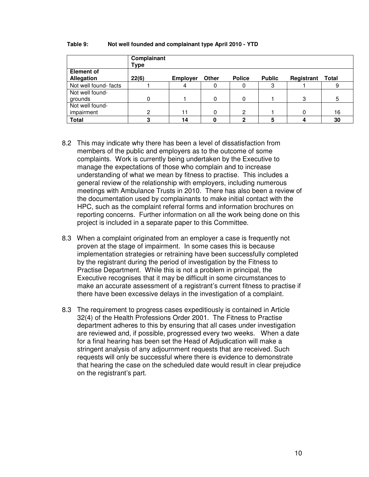|                                        | Complainant<br><b>Type</b> |                 |          |               |               |            |              |
|----------------------------------------|----------------------------|-----------------|----------|---------------|---------------|------------|--------------|
| <b>Element of</b><br><b>Allegation</b> | 22(6)                      | <b>Employer</b> | Other    | <b>Police</b> | <b>Public</b> | Registrant | <b>Total</b> |
| Not well found-facts                   |                            | 4               |          |               | 3             |            | 9            |
| Not well found-<br>grounds             |                            |                 | $\Omega$ | 0             |               | 3          | 5            |
| Not well found-<br>impairment          | ົ                          | 11              | 0        | 2             |               |            | 16           |
| <b>Total</b>                           |                            | 14              |          | ŋ             | 5             |            | 30           |

#### **Table 9: Not well founded and complainant type April 2010 - YTD**

- 8.2 This may indicate why there has been a level of dissatisfaction from members of the public and employers as to the outcome of some complaints. Work is currently being undertaken by the Executive to manage the expectations of those who complain and to increase understanding of what we mean by fitness to practise. This includes a general review of the relationship with employers, including numerous meetings with Ambulance Trusts in 2010. There has also been a review of the documentation used by complainants to make initial contact with the HPC, such as the complaint referral forms and information brochures on reporting concerns. Further information on all the work being done on this project is included in a separate paper to this Committee.
- 8.3 When a complaint originated from an employer a case is frequently not proven at the stage of impairment. In some cases this is because implementation strategies or retraining have been successfully completed by the registrant during the period of investigation by the Fitness to Practise Department. While this is not a problem in principal, the Executive recognises that it may be difficult in some circumstances to make an accurate assessment of a registrant's current fitness to practise if there have been excessive delays in the investigation of a complaint.
- 8.3 The requirement to progress cases expeditiously is contained in Article 32(4) of the Health Professions Order 2001. The Fitness to Practise department adheres to this by ensuring that all cases under investigation are reviewed and, if possible, progressed every two weeks. When a date for a final hearing has been set the Head of Adjudication will make a stringent analysis of any adjournment requests that are received. Such requests will only be successful where there is evidence to demonstrate that hearing the case on the scheduled date would result in clear prejudice on the registrant's part.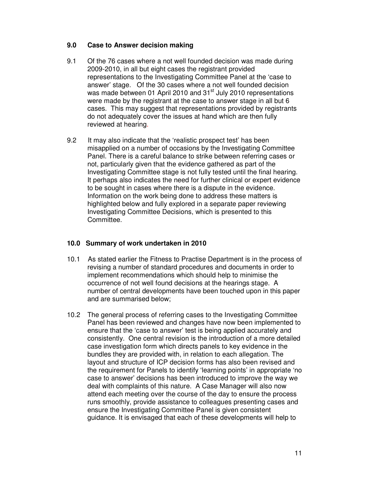## **9.0 Case to Answer decision making**

- 9.1 Of the 76 cases where a not well founded decision was made during 2009-2010, in all but eight cases the registrant provided representations to the Investigating Committee Panel at the 'case to answer' stage. Of the 30 cases where a not well founded decision was made between 01 April 2010 and 31<sup>st</sup> July 2010 representations were made by the registrant at the case to answer stage in all but 6 cases. This may suggest that representations provided by registrants do not adequately cover the issues at hand which are then fully reviewed at hearing.
- 9.2 It may also indicate that the 'realistic prospect test' has been misapplied on a number of occasions by the Investigating Committee Panel. There is a careful balance to strike between referring cases or not, particularly given that the evidence gathered as part of the Investigating Committee stage is not fully tested until the final hearing. It perhaps also indicates the need for further clinical or expert evidence to be sought in cases where there is a dispute in the evidence. Information on the work being done to address these matters is highlighted below and fully explored in a separate paper reviewing Investigating Committee Decisions, which is presented to this Committee.

## **10.0 Summary of work undertaken in 2010**

- 10.1 As stated earlier the Fitness to Practise Department is in the process of revising a number of standard procedures and documents in order to implement recommendations which should help to minimise the occurrence of not well found decisions at the hearings stage. A number of central developments have been touched upon in this paper and are summarised below;
- 10.2 The general process of referring cases to the Investigating Committee Panel has been reviewed and changes have now been implemented to ensure that the 'case to answer' test is being applied accurately and consistently. One central revision is the introduction of a more detailed case investigation form which directs panels to key evidence in the bundles they are provided with, in relation to each allegation. The layout and structure of ICP decision forms has also been revised and the requirement for Panels to identify 'learning points' in appropriate 'no case to answer' decisions has been introduced to improve the way we deal with complaints of this nature. A Case Manager will also now attend each meeting over the course of the day to ensure the process runs smoothly, provide assistance to colleagues presenting cases and ensure the Investigating Committee Panel is given consistent guidance. It is envisaged that each of these developments will help to